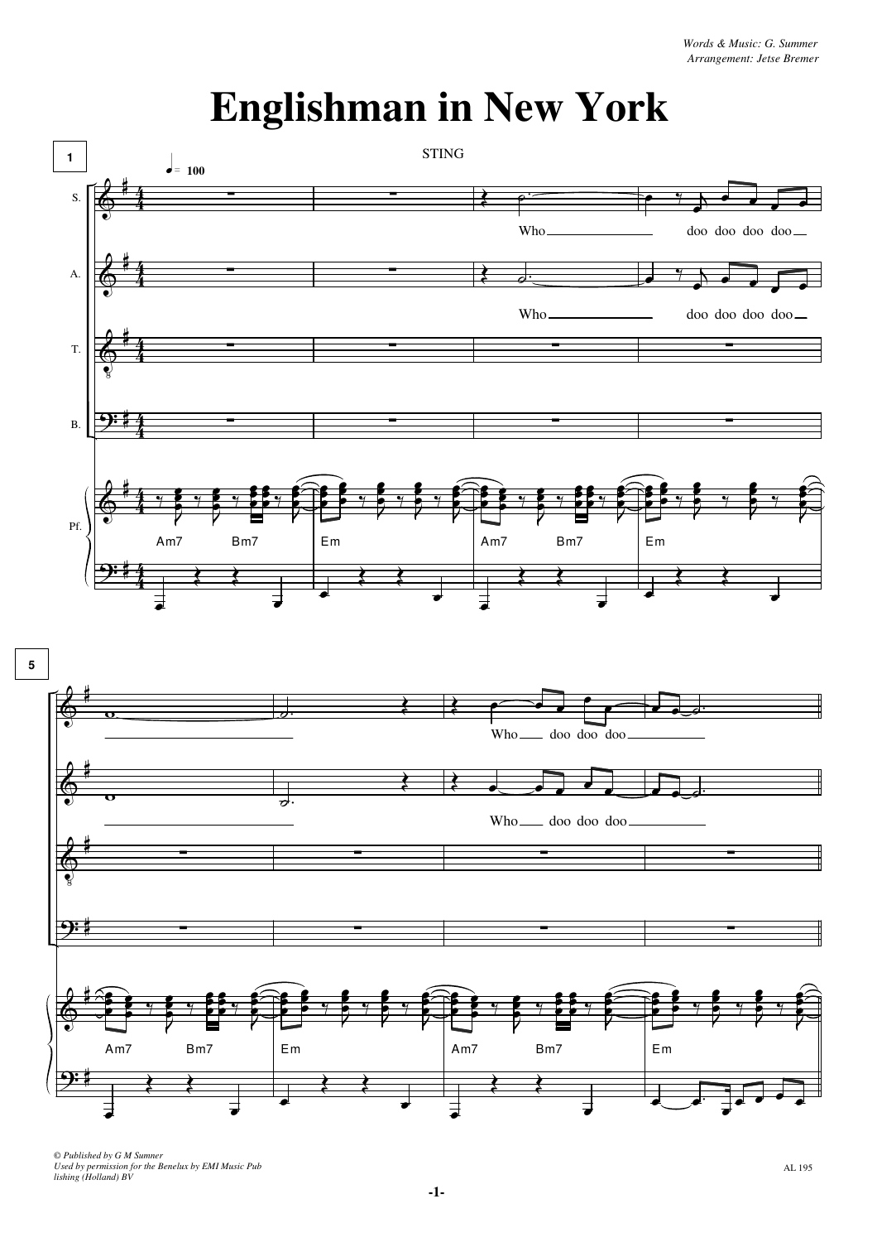## **Englishman in New York**



*© Published by G M Sumner Used by permission for the Benelux by EMI Music Pub lishing (Holland) BV*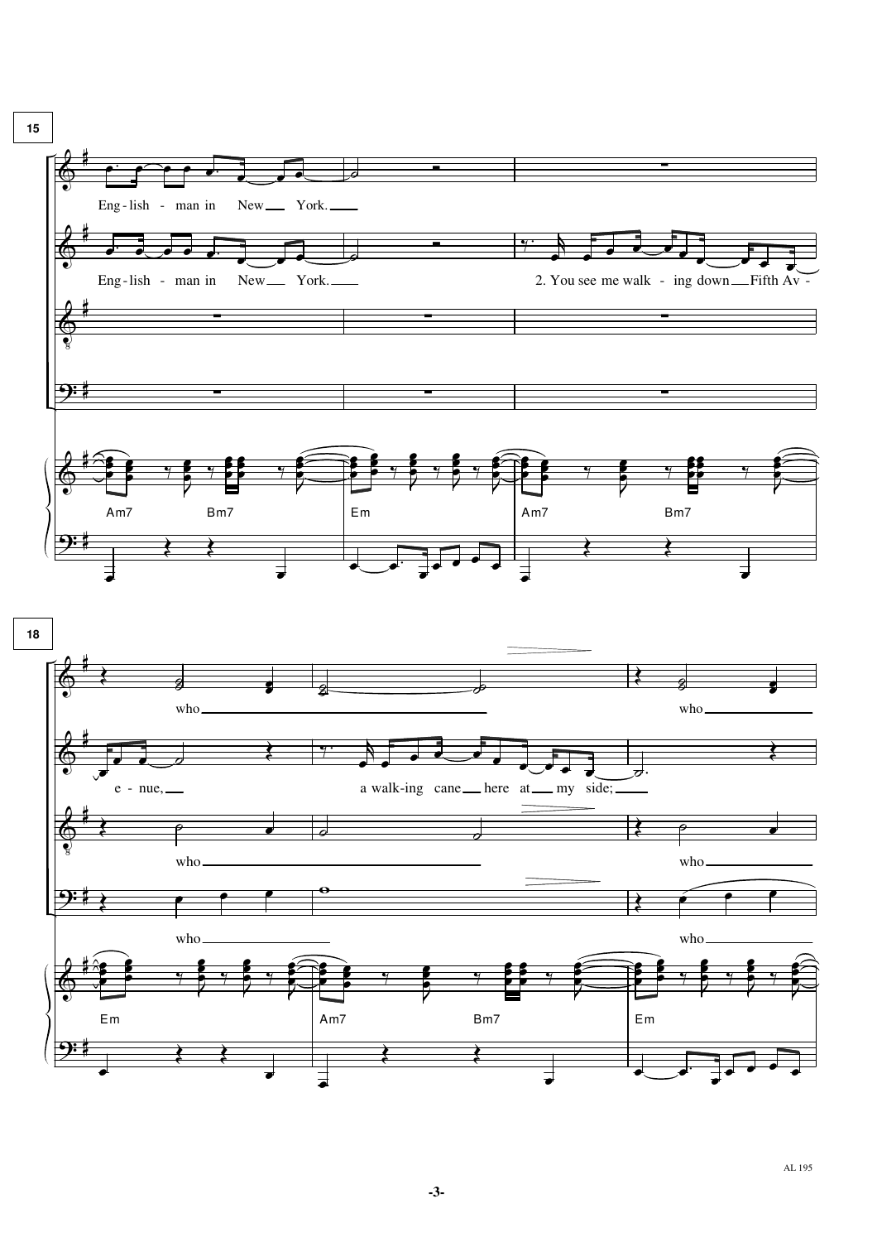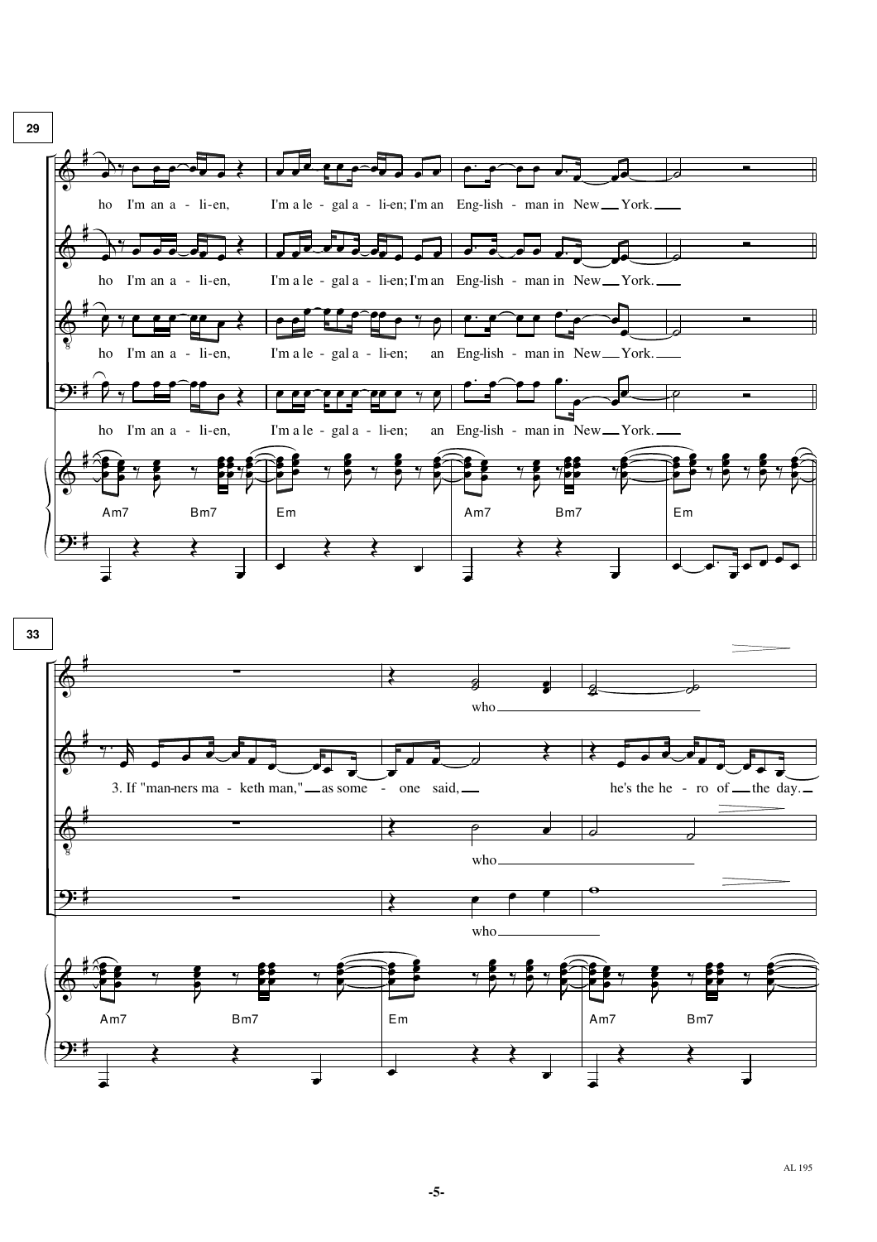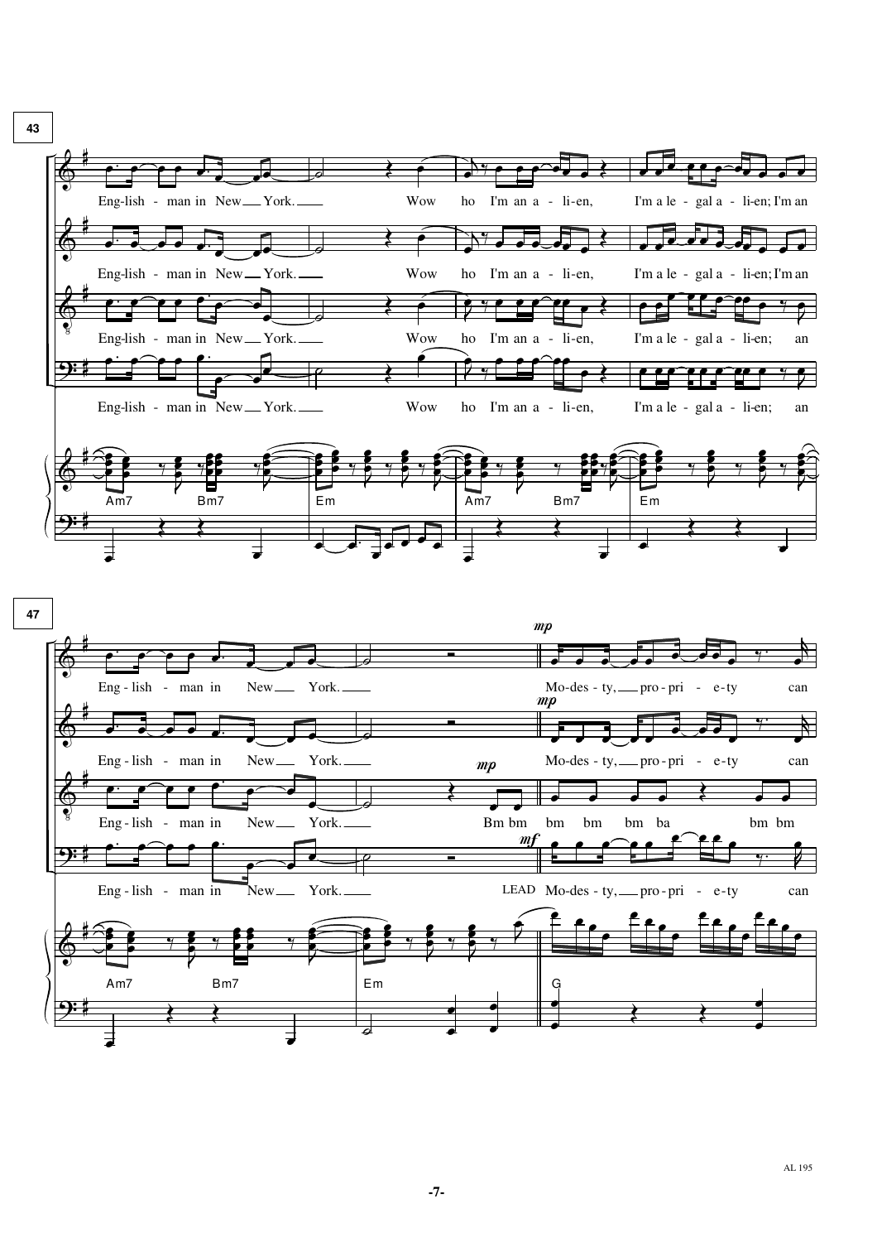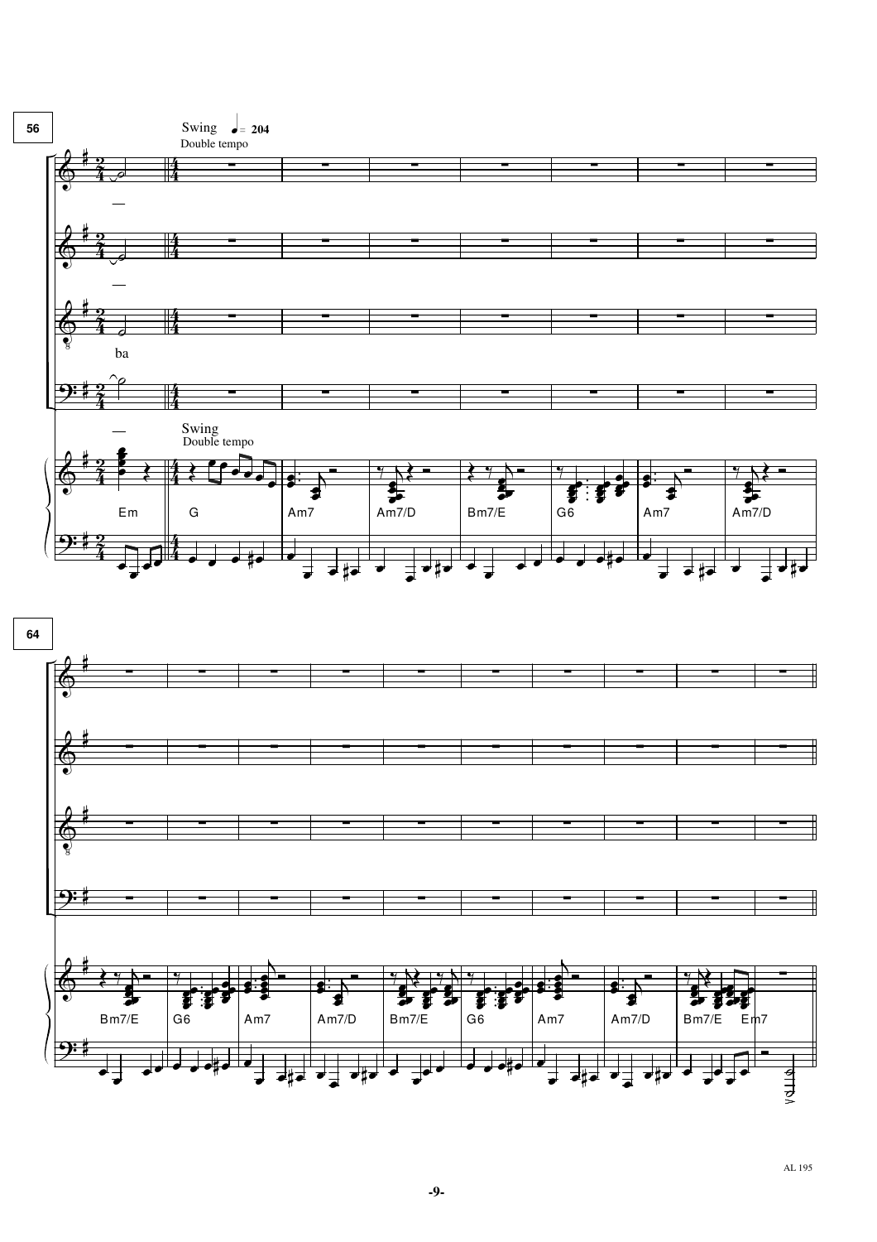

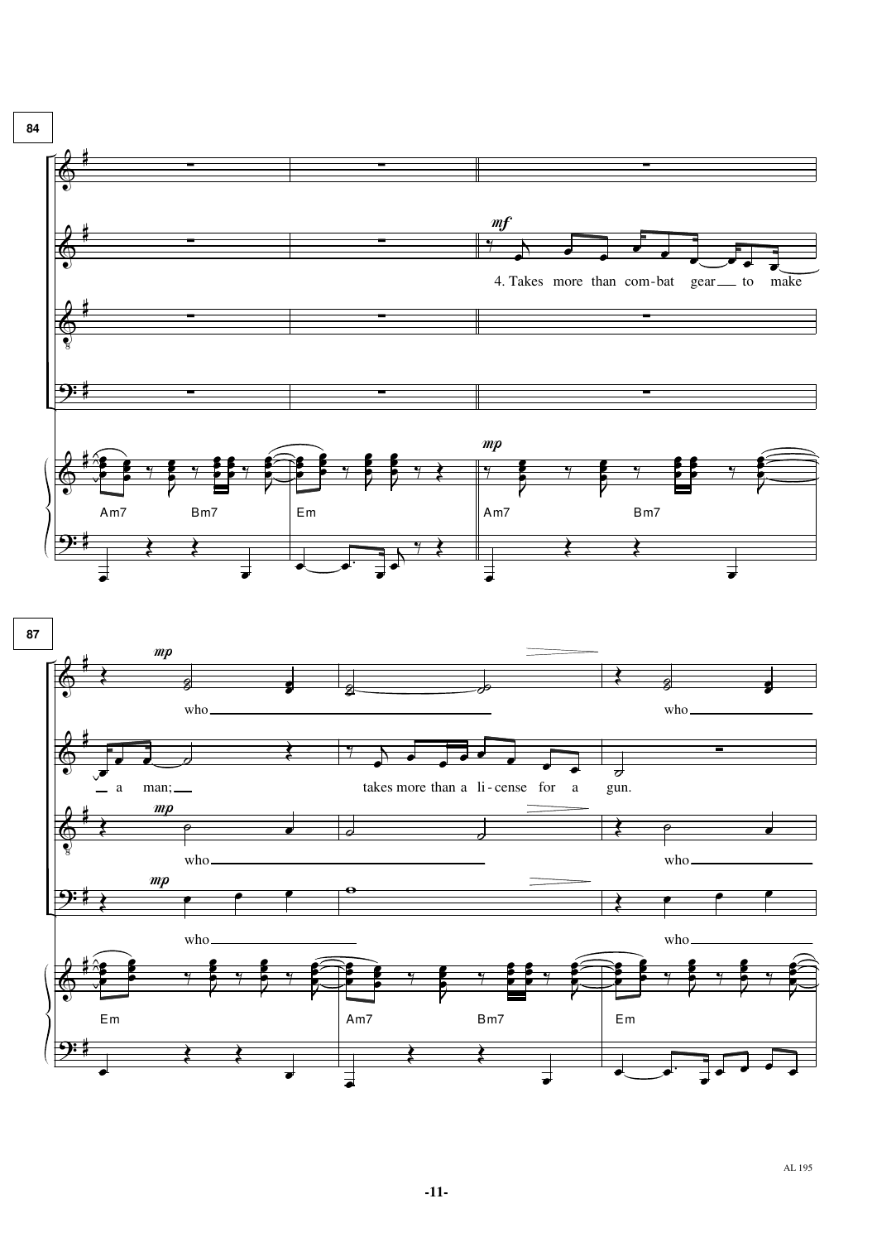

 $\overrightarrow{c}$ œ

œ

œ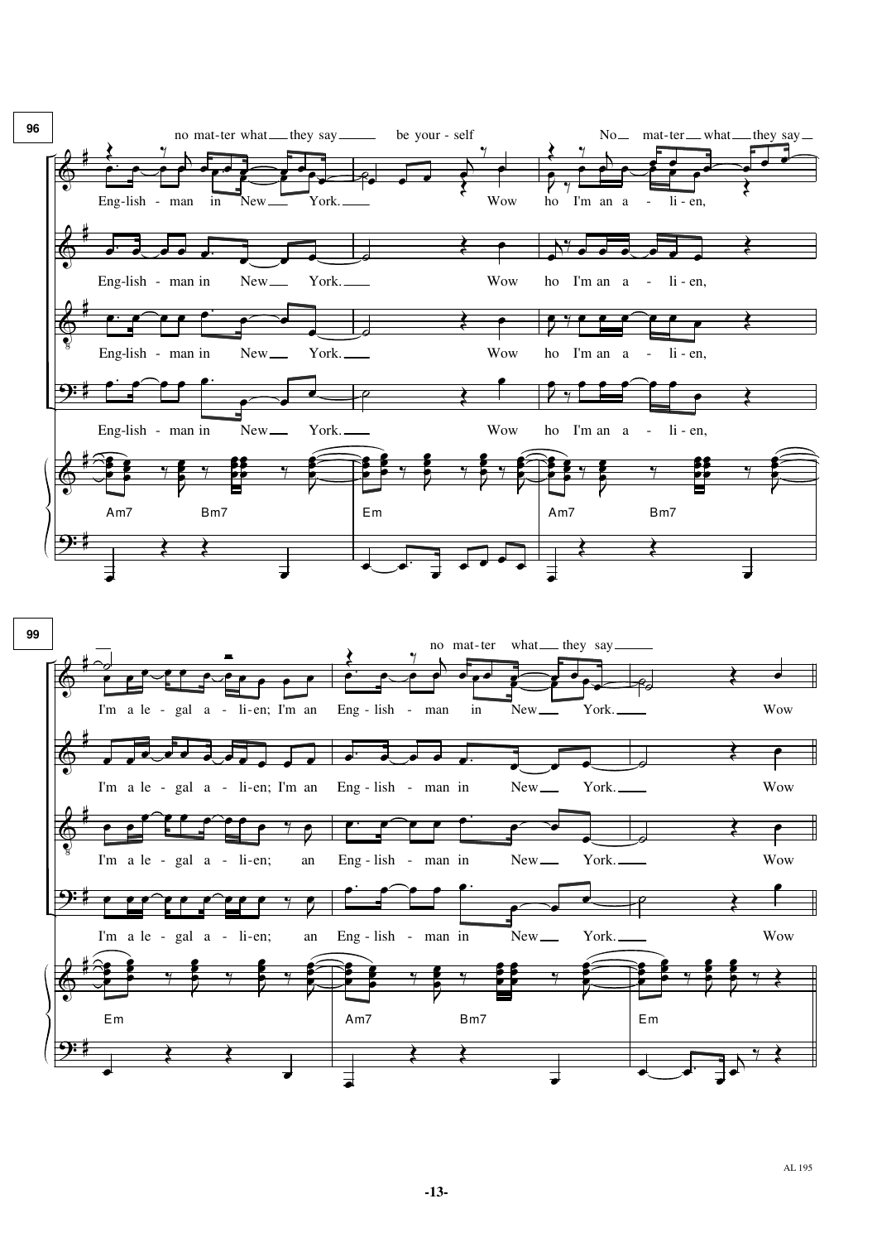